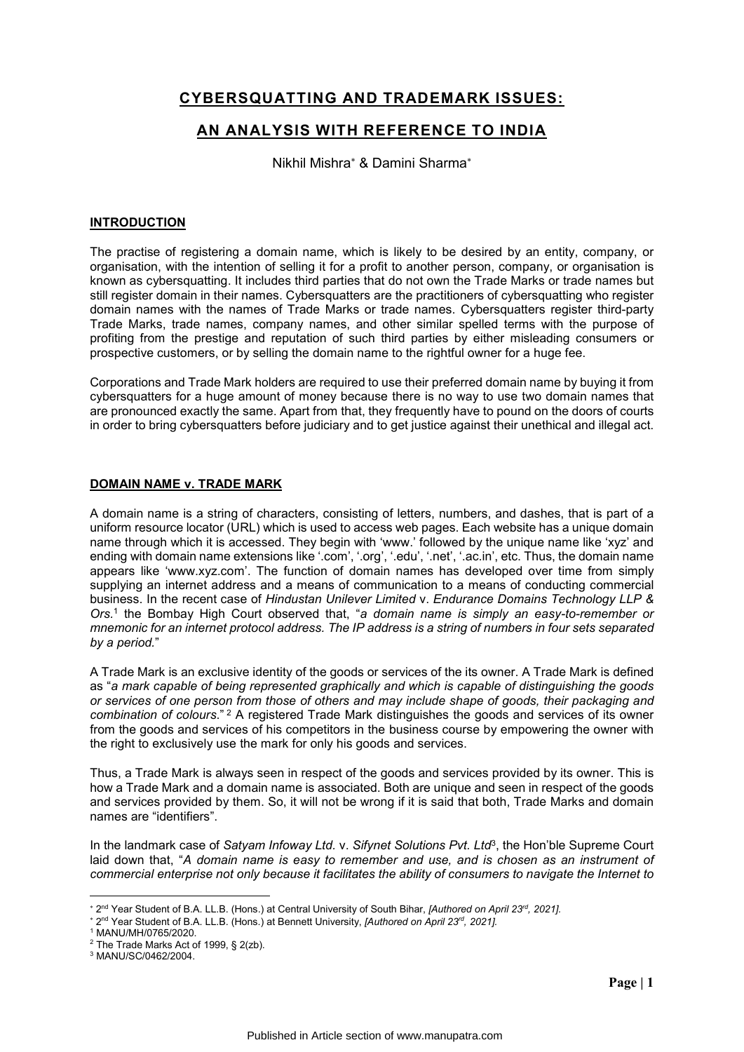# **CYBERSQUATTING AND TRADEMARK ISSUES:**

## **AN ANALYSIS WITH REFERENCE TO INDIA**

Nikhil Mishra\* & Damini Sharma\*

#### **INTRODUCTION**

The practise of registering a domain name, which is likely to be desired by an entity, company, or organisation, with the intention of selling it for a profit to another person, company, or organisation is known as cybersquatting. It includes third parties that do not own the Trade Marks or trade names but still register domain in their names. Cybersquatters are the practitioners of cybersquatting who register domain names with the names of Trade Marks or trade names. Cybersquatters register third-party Trade Marks, trade names, company names, and other similar spelled terms with the purpose of profiting from the prestige and reputation of such third parties by either misleading consumers or prospective customers, or by selling the domain name to the rightful owner for a huge fee.

Corporations and Trade Mark holders are required to use their preferred domain name by buying it from cybersquatters for a huge amount of money because there is no way to use two domain names that are pronounced exactly the same. Apart from that, they frequently have to pound on the doors of courts in order to bring cybersquatters before judiciary and to get justice against their unethical and illegal act.

#### **DOMAIN NAME v. TRADE MARK**

A domain name is a string of characters, consisting of letters, numbers, and dashes, that is part of a uniform resource locator (URL) which is used to access web pages. Each website has a unique domain name through which it is accessed. They begin with 'www.' followed by the unique name like 'xyz' and ending with domain name extensions like '.com', '.org', '.edu', '.net', '.ac.in', etc. Thus, the domain name appears like 'www.xyz.com'. The function of domain names has developed over time from simply supplying an internet address and a means of communication to a means of conducting commercial business. In the recent case of *Hindustan Unilever Limited* v. *Endurance Domains Technology LLP & Ors.*<sup>1</sup> the Bombay High Court observed that, "*a domain name is simply an easy-to-remember or mnemonic for an internet protocol address. The IP address is a string of numbers in four sets separated by a period.*"

A Trade Mark is an exclusive identity of the goods or services of the its owner. A Trade Mark is defined as "*a mark capable of being represented graphically and which is capable of distinguishing the goods or services of one person from those of others and may include shape of goods, their packaging and combination of colours*." <sup>2</sup> A registered Trade Mark distinguishes the goods and services of its owner from the goods and services of his competitors in the business course by empowering the owner with the right to exclusively use the mark for only his goods and services.

Thus, a Trade Mark is always seen in respect of the goods and services provided by its owner. This is how a Trade Mark and a domain name is associated. Both are unique and seen in respect of the goods and services provided by them. So, it will not be wrong if it is said that both, Trade Marks and domain names are "identifiers".

In the landmark case of *Satyam Infoway Ltd.* v. *Sifynet Solutions Pyt. Ltd<sup>3</sup>,* the Hon'ble Supreme Court laid down that, "*A domain name is easy to remember and use, and is chosen as an instrument of commercial enterprise not only because it facilitates the ability of consumers to navigate the Internet to* 

<u>.</u>

<sup>\* 2&</sup>lt;sup>nd</sup> Year Student of B.A. LL.B. (Hons.) at Central University of South Bihar, *[Authored on April 23<sup>rd</sup>, 2021]*.

2nd Year Student of B.A. LL.B. (Hons.) at Bennett University, *[Authored on April 23rd, 2021].*

<sup>1</sup> MANU/MH/0765/2020.

<sup>2</sup> The Trade Marks Act of 1999, § 2(zb).

<sup>3</sup> MANU/SC/0462/2004.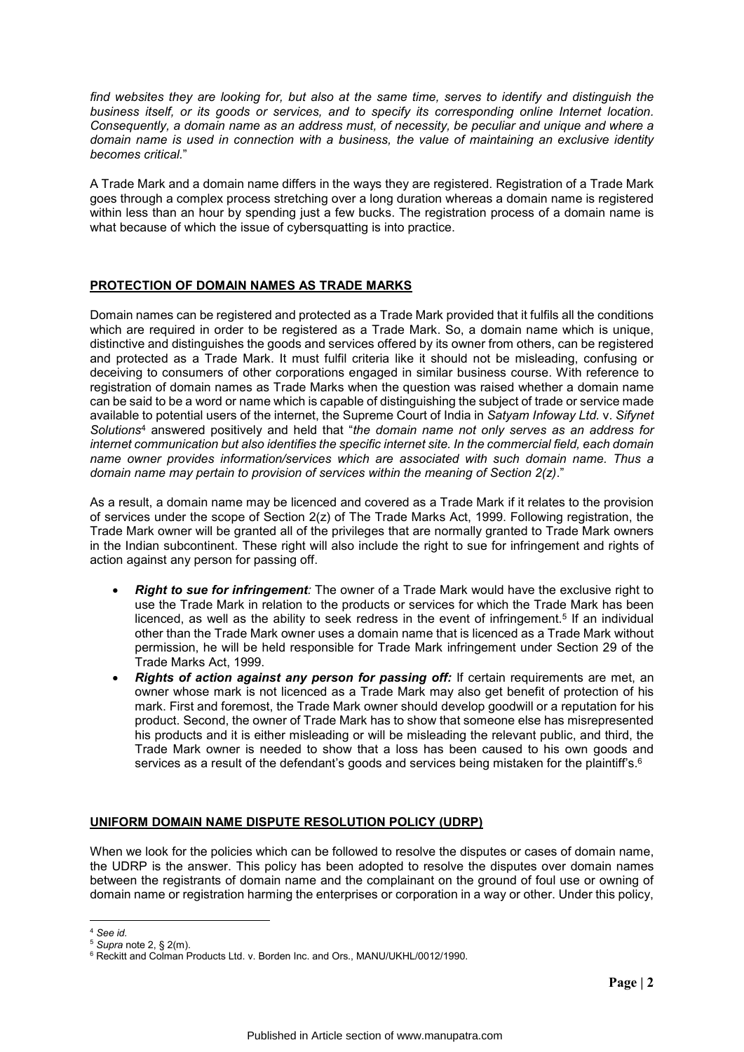*find websites they are looking for, but also at the same time, serves to identify and distinguish the business itself, or its goods or services, and to specify its corresponding online Internet location. Consequently, a domain name as an address must, of necessity, be peculiar and unique and where a domain name is used in connection with a business, the value of maintaining an exclusive identity becomes critical.*"

A Trade Mark and a domain name differs in the ways they are registered. Registration of a Trade Mark goes through a complex process stretching over a long duration whereas a domain name is registered within less than an hour by spending just a few bucks. The registration process of a domain name is what because of which the issue of cybersquatting is into practice.

## **PROTECTION OF DOMAIN NAMES AS TRADE MARKS**

Domain names can be registered and protected as a Trade Mark provided that it fulfils all the conditions which are required in order to be registered as a Trade Mark. So, a domain name which is unique, distinctive and distinguishes the goods and services offered by its owner from others, can be registered and protected as a Trade Mark. It must fulfil criteria like it should not be misleading, confusing or deceiving to consumers of other corporations engaged in similar business course. With reference to registration of domain names as Trade Marks when the question was raised whether a domain name can be said to be a word or name which is capable of distinguishing the subject of trade or service made available to potential users of the internet, the Supreme Court of India in *Satyam Infoway Ltd.* v. *Sifynet Solutions*<sup>4</sup> answered positively and held that "*the domain name not only serves as an address for internet communication but also identifies the specific internet site. In the commercial field, each domain name owner provides information/services which are associated with such domain name. Thus a domain name may pertain to provision of services within the meaning of Section 2(z)*."

As a result, a domain name may be licenced and covered as a Trade Mark if it relates to the provision of services under the scope of Section 2(z) of The Trade Marks Act, 1999. Following registration, the Trade Mark owner will be granted all of the privileges that are normally granted to Trade Mark owners in the Indian subcontinent. These right will also include the right to sue for infringement and rights of action against any person for passing off.

- *Right to sue for infringement:* The owner of a Trade Mark would have the exclusive right to use the Trade Mark in relation to the products or services for which the Trade Mark has been licenced, as well as the ability to seek redress in the event of infringement.<sup>5</sup> If an individual other than the Trade Mark owner uses a domain name that is licenced as a Trade Mark without permission, he will be held responsible for Trade Mark infringement under Section 29 of the Trade Marks Act, 1999.
- *Rights of action against any person for passing off:* If certain requirements are met, an owner whose mark is not licenced as a Trade Mark may also get benefit of protection of his mark. First and foremost, the Trade Mark owner should develop goodwill or a reputation for his product. Second, the owner of Trade Mark has to show that someone else has misrepresented his products and it is either misleading or will be misleading the relevant public, and third, the Trade Mark owner is needed to show that a loss has been caused to his own goods and services as a result of the defendant's goods and services being mistaken for the plaintiff's.<sup>6</sup>

## **UNIFORM DOMAIN NAME DISPUTE RESOLUTION POLICY (UDRP)**

When we look for the policies which can be followed to resolve the disputes or cases of domain name, the UDRP is the answer. This policy has been adopted to resolve the disputes over domain names between the registrants of domain name and the complainant on the ground of foul use or owning of domain name or registration harming the enterprises or corporation in a way or other. Under this policy,

<u>.</u>

<sup>4</sup> *See id.*

<sup>5</sup> *Supra* note 2, § 2(m).

<sup>6</sup> Reckitt and Colman Products Ltd. v. Borden Inc. and Ors., MANU/UKHL/0012/1990.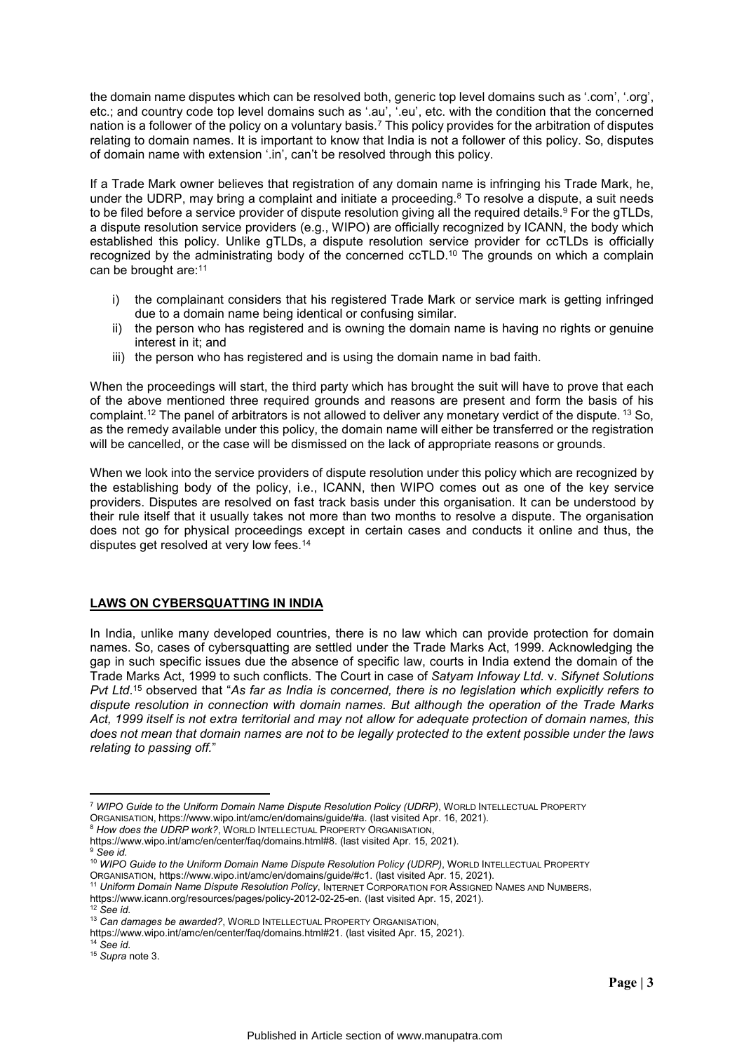the domain name disputes which can be resolved both, generic top level domains such as '.com', '.org', etc.; and country code top level domains such as '.au', '.eu', etc. with the condition that the concerned nation is a follower of the policy on a voluntary basis.7 This policy provides for the arbitration of disputes relating to domain names. It is important to know that India is not a follower of this policy. So, disputes of domain name with extension '.in', can't be resolved through this policy.

If a Trade Mark owner believes that registration of any domain name is infringing his Trade Mark, he, under the UDRP, may bring a complaint and initiate a proceeding.<sup>8</sup> To resolve a dispute, a suit needs to be filed before a service provider of dispute resolution giving all the required details.<sup>9</sup> For the gTLDs, a dispute resolution service providers (e.g., WIPO) are officially recognized by ICANN, the body which established this policy. Unlike gTLDs, a dispute resolution service provider for ccTLDs is officially recognized by the administrating body of the concerned ccTLD.10 The grounds on which a complain can be brought are:11

- i) the complainant considers that his registered Trade Mark or service mark is getting infringed due to a domain name being identical or confusing similar.
- ii) the person who has registered and is owning the domain name is having no rights or genuine interest in it; and
- iii) the person who has registered and is using the domain name in bad faith.

When the proceedings will start, the third party which has brought the suit will have to prove that each of the above mentioned three required grounds and reasons are present and form the basis of his complaint.12 The panel of arbitrators is not allowed to deliver any monetary verdict of the dispute. <sup>13</sup> So, as the remedy available under this policy, the domain name will either be transferred or the registration will be cancelled, or the case will be dismissed on the lack of appropriate reasons or grounds.

When we look into the service providers of dispute resolution under this policy which are recognized by the establishing body of the policy, i.e., ICANN, then WIPO comes out as one of the key service providers. Disputes are resolved on fast track basis under this organisation. It can be understood by their rule itself that it usually takes not more than two months to resolve a dispute. The organisation does not go for physical proceedings except in certain cases and conducts it online and thus, the disputes get resolved at very low fees.<sup>14</sup>

## **LAWS ON CYBERSQUATTING IN INDIA**

In India, unlike many developed countries, there is no law which can provide protection for domain names. So, cases of cybersquatting are settled under the Trade Marks Act, 1999. Acknowledging the gap in such specific issues due the absence of specific law, courts in India extend the domain of the Trade Marks Act, 1999 to such conflicts. The Court in case of *Satyam Infoway Ltd.* v. *Sifynet Solutions Pvt Ltd*. <sup>15</sup> observed that "*As far as India is concerned, there is no legislation which explicitly refers to dispute resolution in connection with domain names. But although the operation of the Trade Marks Act, 1999 itself is not extra territorial and may not allow for adequate protection of domain names, this does not mean that domain names are not to be legally protected to the extent possible under the laws relating to passing off.*"

-

<sup>7</sup> *WIPO Guide to the Uniform Domain Name Dispute Resolution Policy (UDRP)*, WORLD INTELLECTUAL PROPERTY ORGANISATION, https://www.wipo.int/amc/en/domains/guide/#a. (last visited Apr. 16, 2021).

<sup>8</sup> *How does the UDRP work?*, WORLD INTELLECTUAL PROPERTY ORGANISATION,

https://www.wipo.int/amc/en/center/faq/domains.html#8. (last visited Apr. 15, 2021). <sup>9</sup> *See id.*

<sup>10</sup> *WIPO Guide to the Uniform Domain Name Dispute Resolution Policy (UDRP)*, WORLD INTELLECTUAL PROPERTY ORGANISATION, https://www.wipo.int/amc/en/domains/guide/#c1. (last visited Apr. 15, 2021).

<sup>11</sup> *Uniform Domain Name Dispute Resolution Policy*, INTERNET CORPORATION FOR ASSIGNED NAMES AND NUMBERS,

https://www.icann.org/resources/pages/policy-2012-02-25-en. (last visited Apr. 15, 2021). <sup>12</sup> *See id.*

<sup>13</sup> *Can damages be awarded?*, WORLD INTELLECTUAL PROPERTY ORGANISATION,

https://www.wipo.int/amc/en/center/faq/domains.html#21. (last visited Apr. 15, 2021).

<sup>14</sup> *See id.*

<sup>15</sup> *Supra* note 3.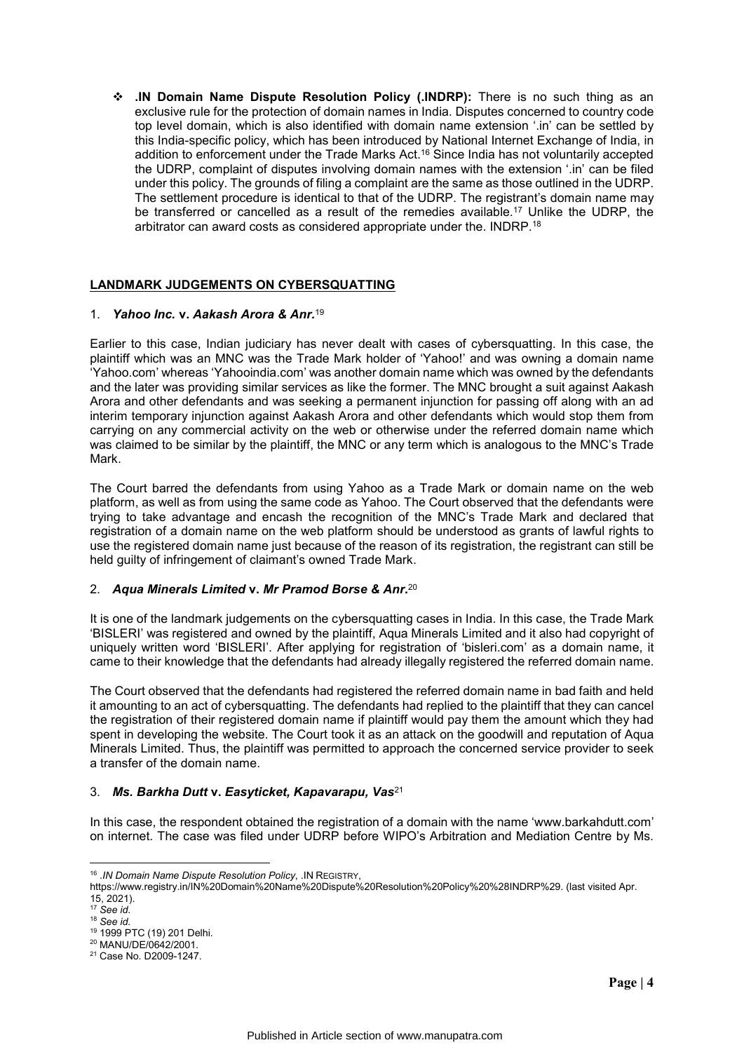**.IN Domain Name Dispute Resolution Policy (.INDRP):** There is no such thing as an exclusive rule for the protection of domain names in India. Disputes concerned to country code top level domain, which is also identified with domain name extension '.in' can be settled by this India-specific policy, which has been introduced by National Internet Exchange of India, in addition to enforcement under the Trade Marks Act. <sup>16</sup> Since India has not voluntarily accepted the UDRP, complaint of disputes involving domain names with the extension '.in' can be filed under this policy. The grounds of filing a complaint are the same as those outlined in the UDRP. The settlement procedure is identical to that of the UDRP. The registrant's domain name may be transferred or cancelled as a result of the remedies available.17 Unlike the UDRP, the arbitrator can award costs as considered appropriate under the. INDRP.18

## **LANDMARK JUDGEMENTS ON CYBERSQUATTING**

#### 1. *Yahoo Inc.* **v.** *Aakash Arora & Anr.*<sup>19</sup>

Earlier to this case, Indian judiciary has never dealt with cases of cybersquatting. In this case, the plaintiff which was an MNC was the Trade Mark holder of 'Yahoo!' and was owning a domain name 'Yahoo.com' whereas 'Yahooindia.com' was another domain name which was owned by the defendants and the later was providing similar services as like the former. The MNC brought a suit against Aakash Arora and other defendants and was seeking a permanent injunction for passing off along with an ad interim temporary injunction against Aakash Arora and other defendants which would stop them from carrying on any commercial activity on the web or otherwise under the referred domain name which was claimed to be similar by the plaintiff, the MNC or any term which is analogous to the MNC's Trade Mark.

The Court barred the defendants from using Yahoo as a Trade Mark or domain name on the web platform, as well as from using the same code as Yahoo. The Court observed that the defendants were trying to take advantage and encash the recognition of the MNC's Trade Mark and declared that registration of a domain name on the web platform should be understood as grants of lawful rights to use the registered domain name just because of the reason of its registration, the registrant can still be held guilty of infringement of claimant's owned Trade Mark.

## 2. *Aqua Minerals Limited* **v.** *Mr Pramod Borse & Anr***.** 20

It is one of the landmark judgements on the cybersquatting cases in India. In this case, the Trade Mark 'BISLERI' was registered and owned by the plaintiff, Aqua Minerals Limited and it also had copyright of uniquely written word 'BISLERI'. After applying for registration of 'bisleri.com' as a domain name, it came to their knowledge that the defendants had already illegally registered the referred domain name.

The Court observed that the defendants had registered the referred domain name in bad faith and held it amounting to an act of cybersquatting. The defendants had replied to the plaintiff that they can cancel the registration of their registered domain name if plaintiff would pay them the amount which they had spent in developing the website. The Court took it as an attack on the goodwill and reputation of Aqua Minerals Limited. Thus, the plaintiff was permitted to approach the concerned service provider to seek a transfer of the domain name.

#### 3. *Ms. Barkha Dutt* **v.** *Easyticket, Kapavarapu, Vas*<sup>21</sup>

In this case, the respondent obtained the registration of a domain with the name 'www.barkahdutt.com' on internet. The case was filed under UDRP before WIPO's Arbitration and Mediation Centre by Ms.

<sup>-</sup><sup>16</sup> .*IN Domain Name Dispute Resolution Policy*, .IN REGISTRY,

https://www.registry.in/IN%20Domain%20Name%20Dispute%20Resolution%20Policy%20%28INDRP%29. (last visited Apr.  $15.2021$ ).

<sup>17</sup> *See id.*

<sup>18</sup> *See id.*

<sup>19</sup> 1999 PTC (19) 201 Delhi.

<sup>20</sup> MANU/DE/0642/2001.

<sup>&</sup>lt;sup>21</sup> Case No. D2009-1247